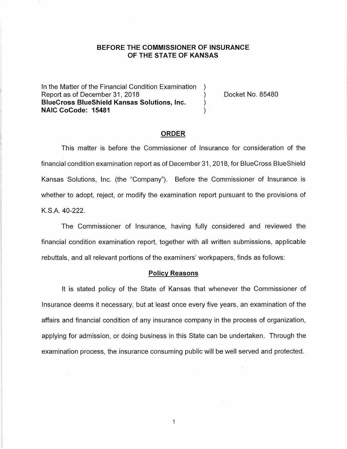## **BEFORE THE COMMISSIONER OF INSURANCE OF THE STATE OF KANSAS**

In the Matter of the Financial Condition Examination ) Report as of December 31, 2018 (a) The Cooket No. 85480 **BlueCross BlueShield Kansas Solutions, Inc.** ) **NAIC CoCode: 15481** )

#### **ORDER**

This matter is before the Commissioner of Insurance for consideration of the financial condition examination report as of December 31, 2018, for BlueCross BlueShield Kansas Solutions, Inc. (the "Company"). Before the Commissioner of Insurance is whether to adopt, reject, or modify the examination report pursuant to the provisions of K.S.A. 40-222.

The Commissioner of Insurance, having fully considered and reviewed the financial condition examination report, together with all written submissions, applicable rebuttals, and all relevant portions of the examiners' workpapers, finds as follows:

### **Policy Reasons**

It is stated policy of the State of Kansas that whenever the Commissioner of Insurance deems it necessary, but at least once every five years, an examination of the affairs and financial condition of any insurance company in the process of organization, applying for admission, or doing business in this State can be undertaken. Through the examination process, the insurance consuming public will be well served and protected.

 $\mathbf{1}$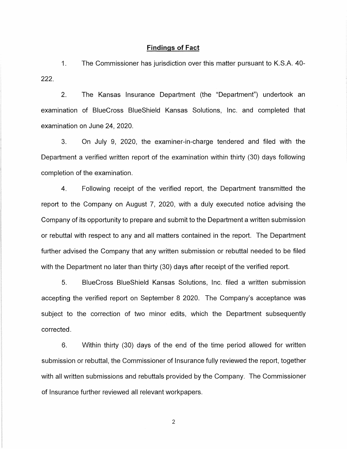### **Findings of Fact**

1. The Commissioner has jurisdiction over this matter pursuant to K.S.A. 40- 222.

2. The Kansas Insurance Department (the "Department") undertook an examination of BlueCross BlueShield Kansas Solutions, Inc. and completed that examination on June 24, 2020.

3. On July 9, 2020, the examiner-in-charge tendered and filed with the Department a verified written report of the examination within thirty (30) days following completion of the examination.

4. Following receipt of the verified report, the Department transmitted the report to the Company on August 7, 2020, with a duly executed notice advising the Company of its opportunity to prepare and submit to the Department a written submission or rebuttal with respect to any and all matters contained in the report. The Department further advised the Company that any written submission or rebuttal needed to be filed with the Department no later than thirty (30) days after receipt of the verified report.

5. BlueCross BlueShield Kansas Solutions, Inc. filed a written submission accepting the verified report on September 8 2020. The Company's acceptance was subject to the correction of two minor edits, which the Department subsequently corrected.

6. Within thirty (30) days of the end of the time period allowed for written submission or rebuttal, the Commissioner of Insurance fully reviewed the report, together with all written submissions and rebuttals provided by the Company. The Commissioner of Insurance further reviewed all relevant workpapers.

2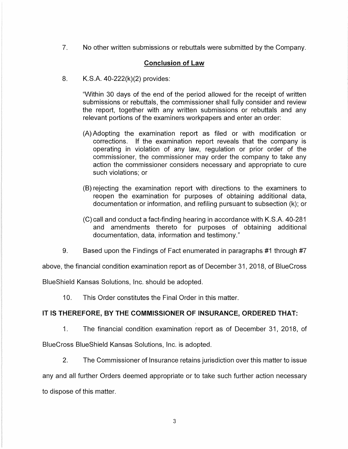7. No other written submissions or rebuttals were submitted by the Company.

# **Conclusion of Law**

8. K.S.A. 40-222(k)(2) provides:

"Within 30 days of the end of the period allowed for the receipt of written submissions or rebuttals, the commissioner shall fully consider and review the report, together with any written submissions or rebuttals and any relevant portions of the examiners workpapers and enter an order:

- (A) Adopting the examination report as filed or with modification or corrections. If the examination report reveals that the company is operating in violation of any law, regulation or prior order of the commissioner, the commissioner may order the company to take any action the commissioner considers necessary and appropriate to cure such violations; or
- (8) rejecting the examination report with directions to the examiners to reopen the examination for purposes of obtaining additional data, documentation or information, and refiling pursuant to subsection (k); or
- (C) call and conduct a fact-finding hearing in accordance with K.S.A. 40-281 and amendments thereto for purposes of obtaining additional documentation, data, information and testimony."
- 9. Based upon the Findings of Fact enumerated in paragraphs #1 through #7

above, the financial condition examination report as of December 31, 2018, of BlueCross

BlueShield Kansas Solutions, Inc. should be adopted.

10. This Order constitutes the Final Order in this matter.

## **IT IS THEREFORE, BY THE COMMISSIONER OF INSURANCE, ORDERED THAT:**

- 1. The financial condition examination report as of December 31, 2018, of BlueCross BlueShield Kansas Solutions, Inc. is adopted.
	- 2. The Commissioner of Insurance retains jurisdiction over this matter to issue

any and all further Orders deemed appropriate or to take such further action necessary to dispose of this matter.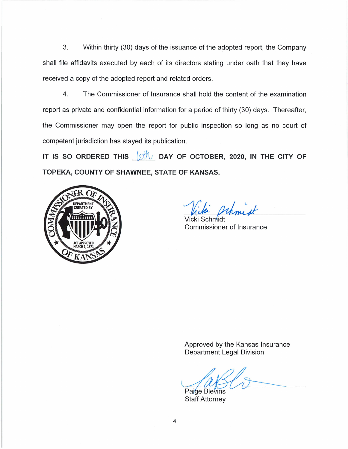3. Within thirty (30) days of the issuance of the adopted report, the Company shall file affidavits executed by each of its directors stating under oath that they have received a copy of the adopted report and related orders.

4. The Commissioner of Insurance shall hold the content of the examination report as private and confidential information for a period of thirty (30) days. Thereafter, the Commissioner may open the report for public inspection so long as no court of competent jurisdiction has stayed its publication.

**IT IS SO ORDERED THIS**  $\left\{\alpha \right\}$  DAY OF OCTOBER, 2020, IN THE CITY OF **TOPEKA, COUNTY OF SHAWNEE, STATE OF KANSAS.** 



Vicki Schmidt Prhmist

Commissioner of Insurance

Approved by the Kansas Insurance Department Legal Division

Paige Blevins Staff Attorney